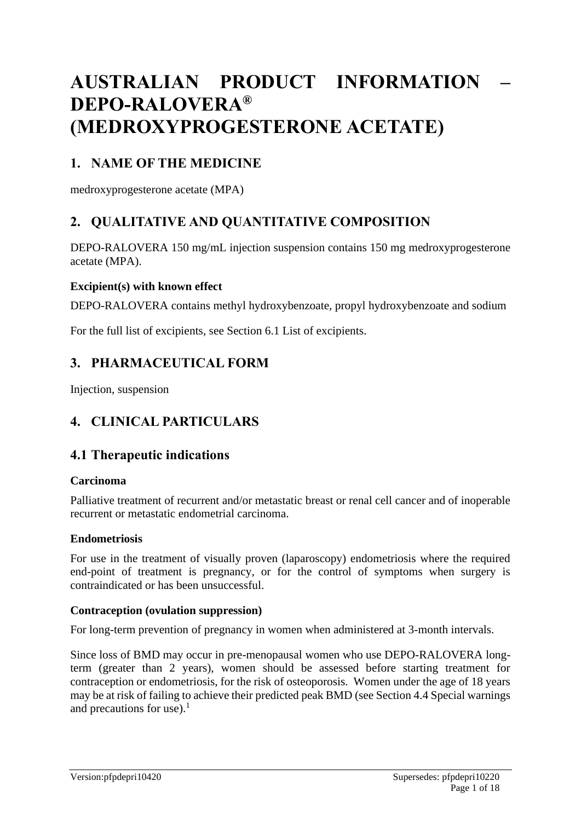# **AUSTRALIAN PRODUCT INFORMATION – DEPO-RALOVERA® (MEDROXYPROGESTERONE ACETATE)**

# **1. NAME OF THE MEDICINE**

medroxyprogesterone acetate (MPA)

# **2. QUALITATIVE AND QUANTITATIVE COMPOSITION**

DEPO-RALOVERA 150 mg/mL injection suspension contains 150 mg medroxyprogesterone acetate (MPA).

#### **Excipient(s) with known effect**

DEPO-RALOVERA contains methyl hydroxybenzoate, propyl hydroxybenzoate and sodium

For the full list of excipients, see Section 6.1 List of excipients.

# **3. PHARMACEUTICAL FORM**

Injection, suspension

# **4. CLINICAL PARTICULARS**

# **4.1 Therapeutic indications**

#### **Carcinoma**

Palliative treatment of recurrent and/or metastatic breast or renal cell cancer and of inoperable recurrent or metastatic endometrial carcinoma.

#### **Endometriosis**

For use in the treatment of visually proven (laparoscopy) endometriosis where the required end-point of treatment is pregnancy, or for the control of symptoms when surgery is contraindicated or has been unsuccessful.

#### **Contraception (ovulation suppression)**

For long-term prevention of pregnancy in women when administered at 3-month intervals.

Since loss of BMD may occur in pre-menopausal women who use DEPO-RALOVERA longterm (greater than 2 years), women should be assessed before starting treatment for contraception or endometriosis, for the risk of osteoporosis. Women under the age of 18 years may be at risk of failing to achieve their predicted peak BMD (see Section 4.4 Special warnings and precautions for use). $<sup>1</sup>$ </sup>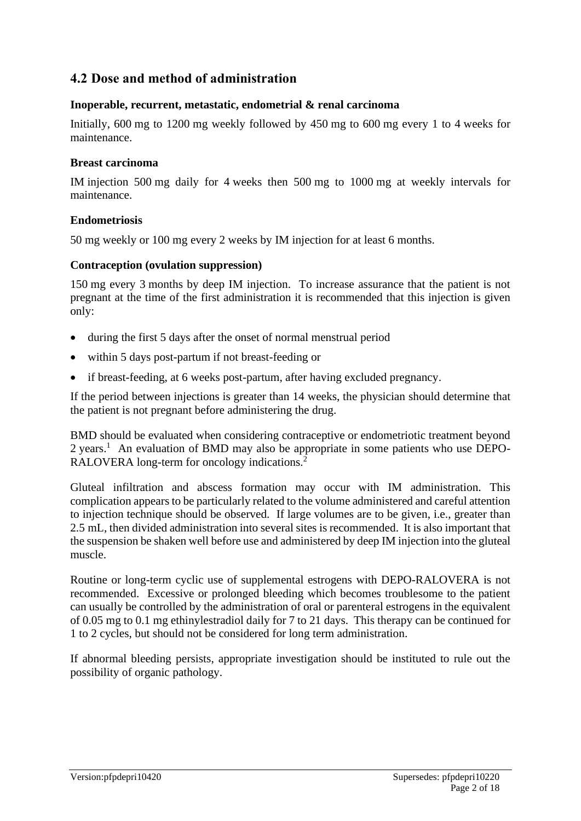# **4.2 Dose and method of administration**

#### **Inoperable, recurrent, metastatic, endometrial & renal carcinoma**

Initially, 600 mg to 1200 mg weekly followed by 450 mg to 600 mg every 1 to 4 weeks for maintenance.

#### **Breast carcinoma**

IM injection 500 mg daily for 4 weeks then 500 mg to 1000 mg at weekly intervals for maintenance.

#### **Endometriosis**

50 mg weekly or 100 mg every 2 weeks by IM injection for at least 6 months.

#### **Contraception (ovulation suppression)**

150 mg every 3 months by deep IM injection. To increase assurance that the patient is not pregnant at the time of the first administration it is recommended that this injection is given only:

- during the first 5 days after the onset of normal menstrual period
- within 5 days post-partum if not breast-feeding or
- if breast-feeding, at 6 weeks post-partum, after having excluded pregnancy.

If the period between injections is greater than 14 weeks, the physician should determine that the patient is not pregnant before administering the drug.

BMD should be evaluated when considering contraceptive or endometriotic treatment beyond 2 years.<sup>1</sup> An evaluation of BMD may also be appropriate in some patients who use DEPO-RALOVERA long-term for oncology indications.<sup>2</sup>

Gluteal infiltration and abscess formation may occur with IM administration. This complication appears to be particularly related to the volume administered and careful attention to injection technique should be observed. If large volumes are to be given, i.e., greater than 2.5 mL, then divided administration into several sites is recommended. It is also important that the suspension be shaken well before use and administered by deep IM injection into the gluteal muscle.

Routine or long-term cyclic use of supplemental estrogens with DEPO-RALOVERA is not recommended. Excessive or prolonged bleeding which becomes troublesome to the patient can usually be controlled by the administration of oral or parenteral estrogens in the equivalent of 0.05 mg to 0.1 mg ethinylestradiol daily for 7 to 21 days. This therapy can be continued for 1 to 2 cycles, but should not be considered for long term administration.

If abnormal bleeding persists, appropriate investigation should be instituted to rule out the possibility of organic pathology.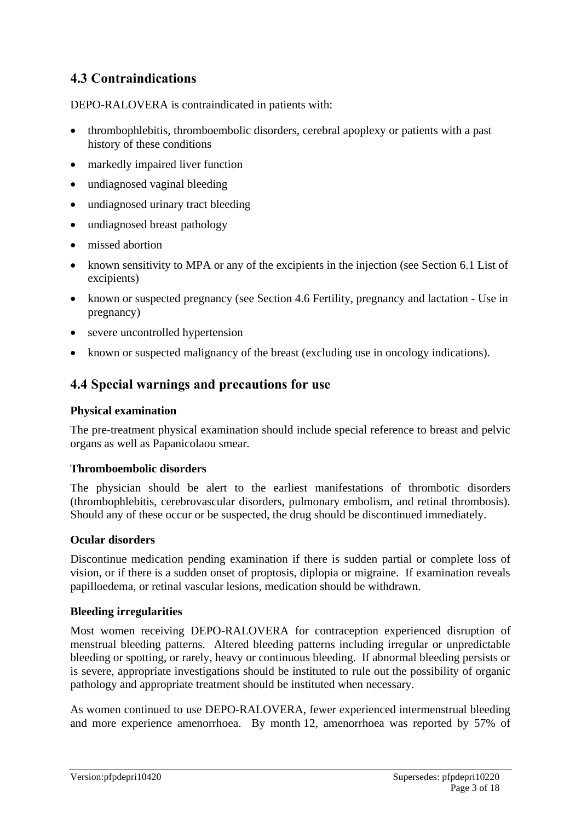# **4.3 Contraindications**

DEPO-RALOVERA is contraindicated in patients with:

- thrombophlebitis, thromboembolic disorders, cerebral apoplexy or patients with a past history of these conditions
- markedly impaired liver function
- undiagnosed vaginal bleeding
- undiagnosed urinary tract bleeding
- undiagnosed breast pathology
- missed abortion
- known sensitivity to MPA or any of the excipients in the injection (see Section 6.1 List of excipients)
- known or suspected pregnancy (see Section 4.6 Fertility, pregnancy and lactation Use in pregnancy)
- severe uncontrolled hypertension
- known or suspected malignancy of the breast (excluding use in oncology indications).

# **4.4 Special warnings and precautions for use**

### **Physical examination**

The pre-treatment physical examination should include special reference to breast and pelvic organs as well as Papanicolaou smear.

### **Thromboembolic disorders**

The physician should be alert to the earliest manifestations of thrombotic disorders (thrombophlebitis, cerebrovascular disorders, pulmonary embolism, and retinal thrombosis). Should any of these occur or be suspected, the drug should be discontinued immediately.

### **Ocular disorders**

Discontinue medication pending examination if there is sudden partial or complete loss of vision, or if there is a sudden onset of proptosis, diplopia or migraine. If examination reveals papilloedema, or retinal vascular lesions, medication should be withdrawn.

### **Bleeding irregularities**

Most women receiving DEPO-RALOVERA for contraception experienced disruption of menstrual bleeding patterns. Altered bleeding patterns including irregular or unpredictable bleeding or spotting, or rarely, heavy or continuous bleeding. If abnormal bleeding persists or is severe, appropriate investigations should be instituted to rule out the possibility of organic pathology and appropriate treatment should be instituted when necessary.

As women continued to use DEPO-RALOVERA, fewer experienced intermenstrual bleeding and more experience amenorrhoea. By month 12, amenorrhoea was reported by 57% of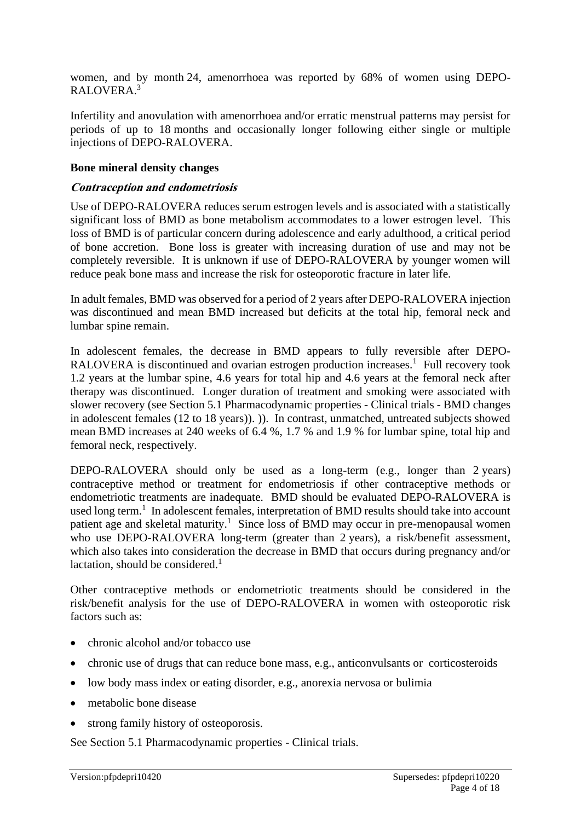women, and by month 24, amenorrhoea was reported by 68% of women using DEPO-RALOVERA. 3

Infertility and anovulation with amenorrhoea and/or erratic menstrual patterns may persist for periods of up to 18 months and occasionally longer following either single or multiple injections of DEPO-RALOVERA.

#### **Bone mineral density changes**

#### **Contraception and endometriosis**

Use of DEPO-RALOVERA reduces serum estrogen levels and is associated with a statistically significant loss of BMD as bone metabolism accommodates to a lower estrogen level. This loss of BMD is of particular concern during adolescence and early adulthood, a critical period of bone accretion. Bone loss is greater with increasing duration of use and may not be completely reversible. It is unknown if use of DEPO-RALOVERA by younger women will reduce peak bone mass and increase the risk for osteoporotic fracture in later life.

In adult females, BMD was observed for a period of 2 years after DEPO-RALOVERA injection was discontinued and mean BMD increased but deficits at the total hip, femoral neck and lumbar spine remain.

In adolescent females, the decrease in BMD appears to fully reversible after DEPO-RALOVERA is discontinued and ovarian estrogen production increases.<sup>1</sup> Full recovery took 1.2 years at the lumbar spine, 4.6 years for total hip and 4.6 years at the femoral neck after therapy was discontinued. Longer duration of treatment and smoking were associated with slower recovery (see Section 5.1 Pharmacodynamic properties - Clinical trials - BMD changes in adolescent females (12 to 18 years)). )). In contrast, unmatched, untreated subjects showed mean BMD increases at 240 weeks of 6.4 %, 1.7 % and 1.9 % for lumbar spine, total hip and femoral neck, respectively.

DEPO-RALOVERA should only be used as a long-term (e.g., longer than 2 years) contraceptive method or treatment for endometriosis if other contraceptive methods or endometriotic treatments are inadequate. BMD should be evaluated DEPO-RALOVERA is used long term.<sup>1</sup> In adolescent females, interpretation of BMD results should take into account patient age and skeletal maturity.<sup>1</sup> Since loss of BMD may occur in pre-menopausal women who use DEPO-RALOVERA long-term (greater than 2 years), a risk/benefit assessment, which also takes into consideration the decrease in BMD that occurs during pregnancy and/or lactation, should be considered.<sup>1</sup>

Other contraceptive methods or endometriotic treatments should be considered in the risk/benefit analysis for the use of DEPO-RALOVERA in women with osteoporotic risk factors such as:

- chronic alcohol and/or tobacco use
- chronic use of drugs that can reduce bone mass, e.g., anticonvulsants or corticosteroids
- low body mass index or eating disorder, e.g., anorexia nervosa or bulimia
- metabolic bone disease
- strong family history of osteoporosis.

See Section 5.1 Pharmacodynamic properties - Clinical trials.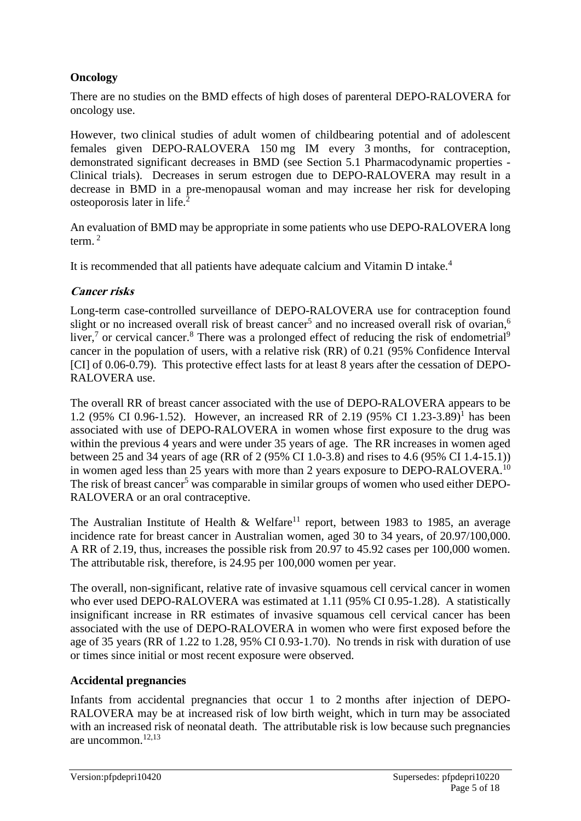### **Oncology**

There are no studies on the BMD effects of high doses of parenteral DEPO-RALOVERA for oncology use.

However, two clinical studies of adult women of childbearing potential and of adolescent females given DEPO-RALOVERA 150 mg IM every 3 months, for contraception, demonstrated significant decreases in BMD (see Section 5.1 Pharmacodynamic properties - Clinical trials). Decreases in serum estrogen due to DEPO-RALOVERA may result in a decrease in BMD in a pre-menopausal woman and may increase her risk for developing osteoporosis later in life.<sup>2</sup>

An evaluation of BMD may be appropriate in some patients who use DEPO-RALOVERA long term. $<sup>2</sup>$ </sup>

It is recommended that all patients have adequate calcium and Vitamin D intake.<sup>4</sup>

### **Cancer risks**

Long-term case-controlled surveillance of DEPO-RALOVERA use for contraception found slight or no increased overall risk of breast cancer<sup>5</sup> and no increased overall risk of ovarian,<sup>6</sup> liver,<sup>7</sup> or cervical cancer.<sup>8</sup> There was a prolonged effect of reducing the risk of endometrial<sup>9</sup> cancer in the population of users, with a relative risk (RR) of 0.21 (95% Confidence Interval [CI] of 0.06-0.79). This protective effect lasts for at least 8 years after the cessation of DEPO-RALOVERA use.

The overall RR of breast cancer associated with the use of DEPO-RALOVERA appears to be 1.2 (95% CI 0.96-1.52). However, an increased RR of 2.19 (95% CI 1.23-3.89)<sup>1</sup> has been associated with use of DEPO-RALOVERA in women whose first exposure to the drug was within the previous 4 years and were under 35 years of age. The RR increases in women aged between 25 and 34 years of age (RR of 2 (95% CI 1.0-3.8) and rises to 4.6 (95% CI 1.4-15.1)) in women aged less than 25 years with more than 2 years exposure to DEPO-RALOVERA.<sup>10</sup> The risk of breast cancer<sup>5</sup> was comparable in similar groups of women who used either DEPO-RALOVERA or an oral contraceptive.

The Australian Institute of Health & Welfare<sup>11</sup> report, between 1983 to 1985, an average incidence rate for breast cancer in Australian women, aged 30 to 34 years, of 20.97/100,000. A RR of 2.19, thus, increases the possible risk from 20.97 to 45.92 cases per 100,000 women. The attributable risk, therefore, is 24.95 per 100,000 women per year.

The overall, non-significant, relative rate of invasive squamous cell cervical cancer in women who ever used DEPO-RALOVERA was estimated at 1.11 (95% CI 0.95-1.28). A statistically insignificant increase in RR estimates of invasive squamous cell cervical cancer has been associated with the use of DEPO-RALOVERA in women who were first exposed before the age of 35 years (RR of 1.22 to 1.28, 95% CI 0.93-1.70). No trends in risk with duration of use or times since initial or most recent exposure were observed.

#### **Accidental pregnancies**

Infants from accidental pregnancies that occur 1 to 2 months after injection of DEPO-RALOVERA may be at increased risk of low birth weight, which in turn may be associated with an increased risk of neonatal death. The attributable risk is low because such pregnancies are uncommon.12,13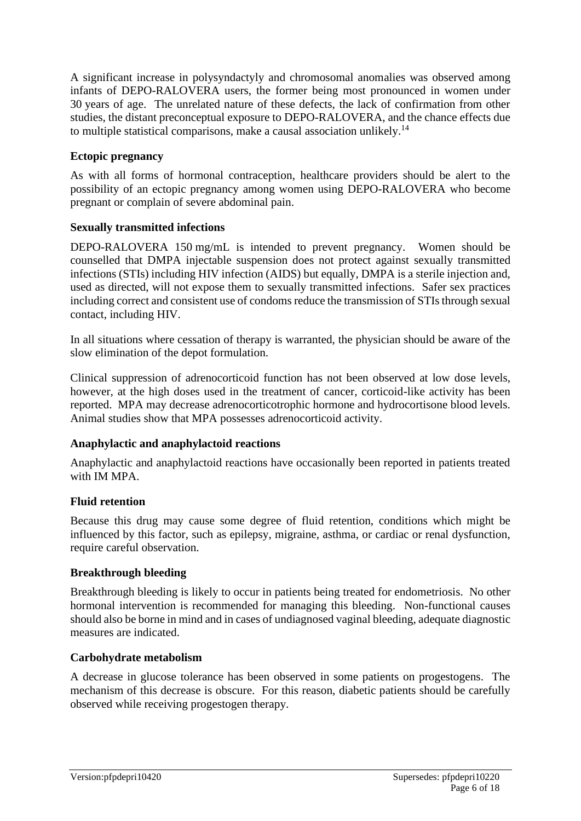A significant increase in polysyndactyly and chromosomal anomalies was observed among infants of DEPO-RALOVERA users, the former being most pronounced in women under 30 years of age. The unrelated nature of these defects, the lack of confirmation from other studies, the distant preconceptual exposure to DEPO-RALOVERA, and the chance effects due to multiple statistical comparisons, make a causal association unlikely.<sup>14</sup>

### **Ectopic pregnancy**

As with all forms of hormonal contraception, healthcare providers should be alert to the possibility of an ectopic pregnancy among women using DEPO-RALOVERA who become pregnant or complain of severe abdominal pain.

### **Sexually transmitted infections**

DEPO-RALOVERA 150 mg/mL is intended to prevent pregnancy. Women should be counselled that DMPA injectable suspension does not protect against sexually transmitted infections (STIs) including HIV infection (AIDS) but equally, DMPA is a sterile injection and, used as directed, will not expose them to sexually transmitted infections. Safer sex practices including correct and consistent use of condoms reduce the transmission of STIs through sexual contact, including HIV.

In all situations where cessation of therapy is warranted, the physician should be aware of the slow elimination of the depot formulation.

Clinical suppression of adrenocorticoid function has not been observed at low dose levels, however, at the high doses used in the treatment of cancer, corticoid-like activity has been reported. MPA may decrease adrenocorticotrophic hormone and hydrocortisone blood levels. Animal studies show that MPA possesses adrenocorticoid activity.

### **Anaphylactic and anaphylactoid reactions**

Anaphylactic and anaphylactoid reactions have occasionally been reported in patients treated with IM MPA.

# **Fluid retention**

Because this drug may cause some degree of fluid retention, conditions which might be influenced by this factor, such as epilepsy, migraine, asthma, or cardiac or renal dysfunction, require careful observation.

# **Breakthrough bleeding**

Breakthrough bleeding is likely to occur in patients being treated for endometriosis. No other hormonal intervention is recommended for managing this bleeding. Non-functional causes should also be borne in mind and in cases of undiagnosed vaginal bleeding, adequate diagnostic measures are indicated.

### **Carbohydrate metabolism**

A decrease in glucose tolerance has been observed in some patients on progestogens. The mechanism of this decrease is obscure. For this reason, diabetic patients should be carefully observed while receiving progestogen therapy.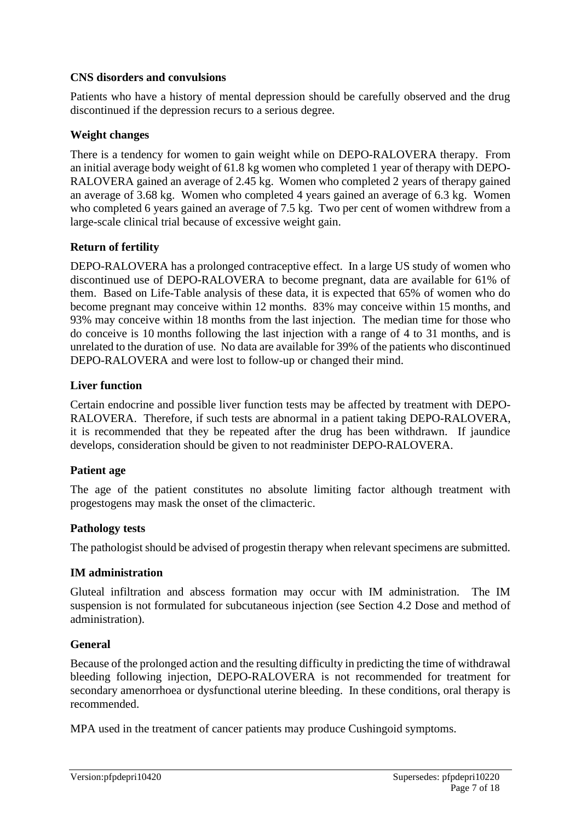#### **CNS disorders and convulsions**

Patients who have a history of mental depression should be carefully observed and the drug discontinued if the depression recurs to a serious degree.

### **Weight changes**

There is a tendency for women to gain weight while on DEPO-RALOVERA therapy. From an initial average body weight of 61.8 kg women who completed 1 year of therapy with DEPO-RALOVERA gained an average of 2.45 kg. Women who completed 2 years of therapy gained an average of 3.68 kg. Women who completed 4 years gained an average of 6.3 kg. Women who completed 6 years gained an average of 7.5 kg. Two per cent of women withdrew from a large-scale clinical trial because of excessive weight gain.

### **Return of fertility**

DEPO-RALOVERA has a prolonged contraceptive effect. In a large US study of women who discontinued use of DEPO-RALOVERA to become pregnant, data are available for 61% of them. Based on Life-Table analysis of these data, it is expected that 65% of women who do become pregnant may conceive within 12 months. 83% may conceive within 15 months, and 93% may conceive within 18 months from the last injection. The median time for those who do conceive is 10 months following the last injection with a range of 4 to 31 months, and is unrelated to the duration of use. No data are available for 39% of the patients who discontinued DEPO-RALOVERA and were lost to follow-up or changed their mind.

### **Liver function**

Certain endocrine and possible liver function tests may be affected by treatment with DEPO-RALOVERA. Therefore, if such tests are abnormal in a patient taking DEPO-RALOVERA, it is recommended that they be repeated after the drug has been withdrawn. If jaundice develops, consideration should be given to not readminister DEPO-RALOVERA.

### **Patient age**

The age of the patient constitutes no absolute limiting factor although treatment with progestogens may mask the onset of the climacteric.

### **Pathology tests**

The pathologist should be advised of progestin therapy when relevant specimens are submitted.

### **IM administration**

Gluteal infiltration and abscess formation may occur with IM administration. The IM suspension is not formulated for subcutaneous injection (see Section 4.2 Dose and method of administration).

### **General**

Because of the prolonged action and the resulting difficulty in predicting the time of withdrawal bleeding following injection, DEPO-RALOVERA is not recommended for treatment for secondary amenorrhoea or dysfunctional uterine bleeding. In these conditions, oral therapy is recommended.

MPA used in the treatment of cancer patients may produce Cushingoid symptoms.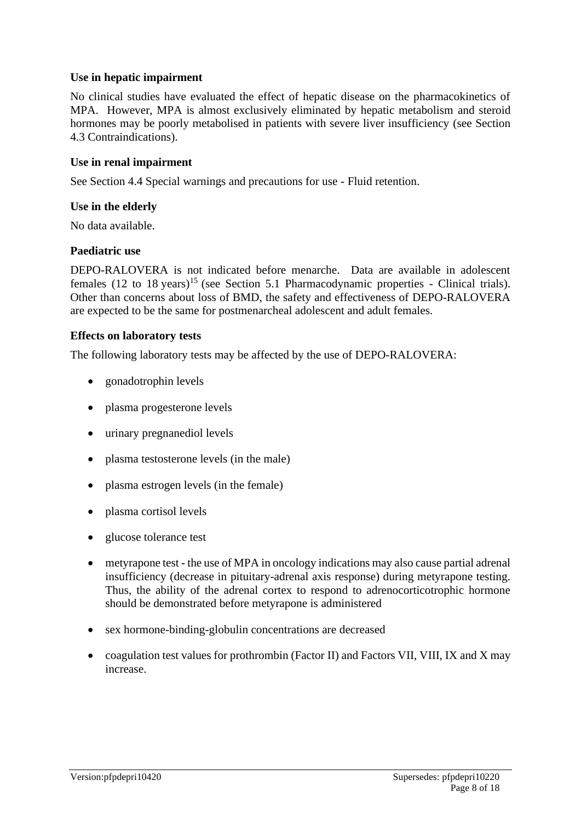#### **Use in hepatic impairment**

No clinical studies have evaluated the effect of hepatic disease on the pharmacokinetics of MPA. However, MPA is almost exclusively eliminated by hepatic metabolism and steroid hormones may be poorly metabolised in patients with severe liver insufficiency (see Section 4.3 Contraindications).

#### **Use in renal impairment**

See Section 4.4 Special warnings and precautions for use - Fluid retention.

#### **Use in the elderly**

No data available.

#### **Paediatric use**

DEPO-RALOVERA is not indicated before menarche. Data are available in adolescent females (12 to 18 years)<sup>15</sup> (see Section 5.1 Pharmacodynamic properties - Clinical trials). Other than concerns about loss of BMD, the safety and effectiveness of DEPO-RALOVERA are expected to be the same for postmenarcheal adolescent and adult females.

#### **Effects on laboratory tests**

The following laboratory tests may be affected by the use of DEPO-RALOVERA:

- gonadotrophin levels
- plasma progesterone levels
- urinary pregnanediol levels
- plasma testosterone levels (in the male)
- plasma estrogen levels (in the female)
- plasma cortisol levels
- glucose tolerance test
- metyrapone test the use of MPA in oncology indications may also cause partial adrenal insufficiency (decrease in pituitary-adrenal axis response) during metyrapone testing. Thus, the ability of the adrenal cortex to respond to adrenocorticotrophic hormone should be demonstrated before metyrapone is administered
- sex hormone-binding-globulin concentrations are decreased
- coagulation test values for prothrombin (Factor II) and Factors VII, VIII, IX and X may increase.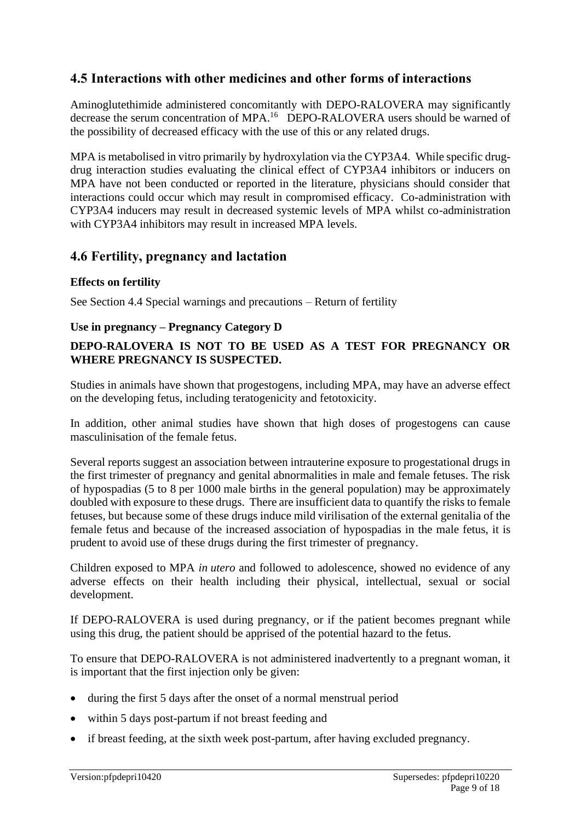# **4.5 Interactions with other medicines and other forms of interactions**

Aminoglutethimide administered concomitantly with DEPO-RALOVERA may significantly decrease the serum concentration of MPA.<sup>16</sup> DEPO-RALOVERA users should be warned of the possibility of decreased efficacy with the use of this or any related drugs.

MPA is metabolised in vitro primarily by hydroxylation via the CYP3A4. While specific drugdrug interaction studies evaluating the clinical effect of CYP3A4 inhibitors or inducers on MPA have not been conducted or reported in the literature, physicians should consider that interactions could occur which may result in compromised efficacy. Co-administration with CYP3A4 inducers may result in decreased systemic levels of MPA whilst co-administration with CYP3A4 inhibitors may result in increased MPA levels.

# **4.6 Fertility, pregnancy and lactation**

#### **Effects on fertility**

See Section 4.4 Special warnings and precautions – Return of fertility

#### **Use in pregnancy – Pregnancy Category D**

### **DEPO-RALOVERA IS NOT TO BE USED AS A TEST FOR PREGNANCY OR WHERE PREGNANCY IS SUSPECTED.**

Studies in animals have shown that progestogens, including MPA, may have an adverse effect on the developing fetus, including teratogenicity and fetotoxicity.

In addition, other animal studies have shown that high doses of progestogens can cause masculinisation of the female fetus.

Several reports suggest an association between intrauterine exposure to progestational drugs in the first trimester of pregnancy and genital abnormalities in male and female fetuses. The risk of hypospadias (5 to 8 per 1000 male births in the general population) may be approximately doubled with exposure to these drugs. There are insufficient data to quantify the risks to female fetuses, but because some of these drugs induce mild virilisation of the external genitalia of the female fetus and because of the increased association of hypospadias in the male fetus, it is prudent to avoid use of these drugs during the first trimester of pregnancy.

Children exposed to MPA *in utero* and followed to adolescence, showed no evidence of any adverse effects on their health including their physical, intellectual, sexual or social development.

If DEPO-RALOVERA is used during pregnancy, or if the patient becomes pregnant while using this drug, the patient should be apprised of the potential hazard to the fetus.

To ensure that DEPO-RALOVERA is not administered inadvertently to a pregnant woman, it is important that the first injection only be given:

- during the first 5 days after the onset of a normal menstrual period
- within 5 days post-partum if not breast feeding and
- if breast feeding, at the sixth week post-partum, after having excluded pregnancy.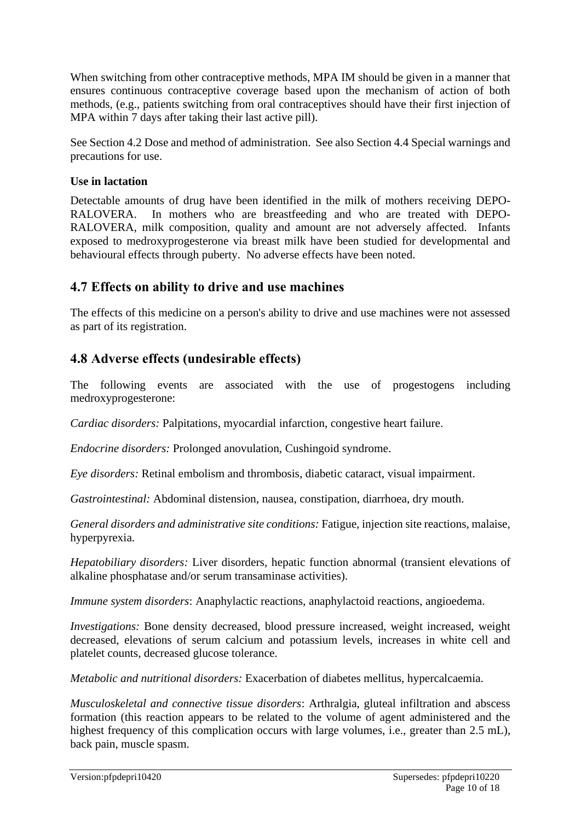When switching from other contraceptive methods, MPA IM should be given in a manner that ensures continuous contraceptive coverage based upon the mechanism of action of both methods, (e.g., patients switching from oral contraceptives should have their first injection of MPA within 7 days after taking their last active pill).

See Section 4.2 Dose and method of administration. See also Section 4.4 Special warnings and precautions for use.

#### **Use in lactation**

Detectable amounts of drug have been identified in the milk of mothers receiving DEPO-RALOVERA. In mothers who are breastfeeding and who are treated with DEPO-RALOVERA, milk composition, quality and amount are not adversely affected. Infants exposed to medroxyprogesterone via breast milk have been studied for developmental and behavioural effects through puberty. No adverse effects have been noted.

# **4.7 Effects on ability to drive and use machines**

The effects of this medicine on a person's ability to drive and use machines were not assessed as part of its registration.

# **4.8 Adverse effects (undesirable effects)**

The following events are associated with the use of progestogens including medroxyprogesterone:

*Cardiac disorders:* Palpitations, myocardial infarction, congestive heart failure.

*Endocrine disorders:* Prolonged anovulation, Cushingoid syndrome.

*Eye disorders:* Retinal embolism and thrombosis, diabetic cataract, visual impairment.

*Gastrointestinal:* Abdominal distension, nausea, constipation, diarrhoea, dry mouth.

*General disorders and administrative site conditions:* Fatigue, injection site reactions, malaise, hyperpyrexia.

*Hepatobiliary disorders:* Liver disorders, hepatic function abnormal (transient elevations of alkaline phosphatase and/or serum transaminase activities).

*Immune system disorders*: Anaphylactic reactions, anaphylactoid reactions, angioedema.

*Investigations:* Bone density decreased, blood pressure increased, weight increased, weight decreased, elevations of serum calcium and potassium levels, increases in white cell and platelet counts, decreased glucose tolerance.

*Metabolic and nutritional disorders:* Exacerbation of diabetes mellitus, hypercalcaemia.

*Musculoskeletal and connective tissue disorders*: Arthralgia, gluteal infiltration and abscess formation (this reaction appears to be related to the volume of agent administered and the highest frequency of this complication occurs with large volumes, i.e., greater than 2.5 mL), back pain, muscle spasm.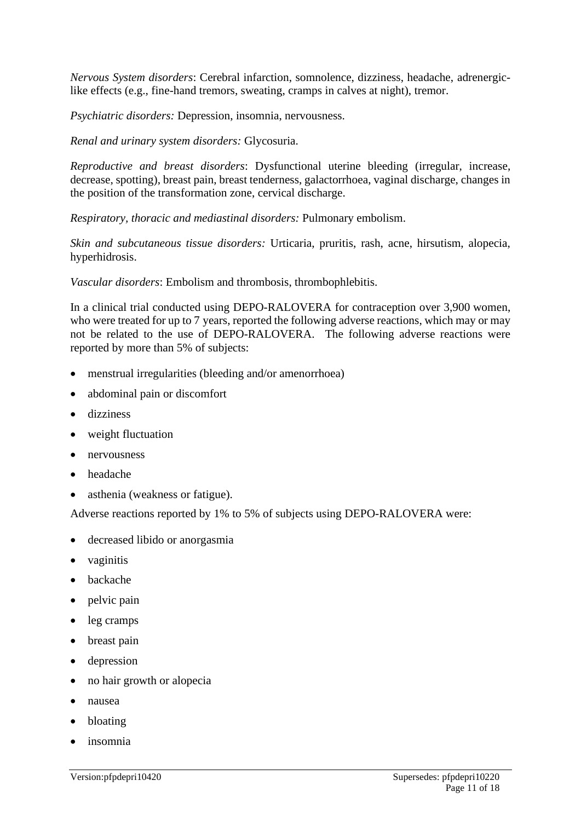*Nervous System disorders*: Cerebral infarction, somnolence, dizziness, headache, adrenergiclike effects (e.g., fine-hand tremors, sweating, cramps in calves at night), tremor.

*Psychiatric disorders:* Depression, insomnia, nervousness.

*Renal and urinary system disorders:* Glycosuria.

*Reproductive and breast disorders*: Dysfunctional uterine bleeding (irregular, increase, decrease, spotting), breast pain, breast tenderness, galactorrhoea, vaginal discharge, changes in the position of the transformation zone, cervical discharge.

*Respiratory, thoracic and mediastinal disorders:* Pulmonary embolism.

*Skin and subcutaneous tissue disorders:* Urticaria, pruritis, rash, acne, hirsutism, alopecia, hyperhidrosis.

*Vascular disorders*: Embolism and thrombosis, thrombophlebitis.

In a clinical trial conducted using DEPO-RALOVERA for contraception over 3,900 women, who were treated for up to 7 years, reported the following adverse reactions, which may or may not be related to the use of DEPO-RALOVERA. The following adverse reactions were reported by more than 5% of subjects:

- menstrual irregularities (bleeding and/or amenorrhoea)
- abdominal pain or discomfort
- dizziness
- weight fluctuation
- nervousness
- headache
- asthenia (weakness or fatigue).

Adverse reactions reported by 1% to 5% of subjects using DEPO-RALOVERA were:

- decreased libido or anorgasmia
- vaginitis
- backache
- pelvic pain
- leg cramps
- breast pain
- depression
- no hair growth or alopecia
- nausea
- bloating
- insomnia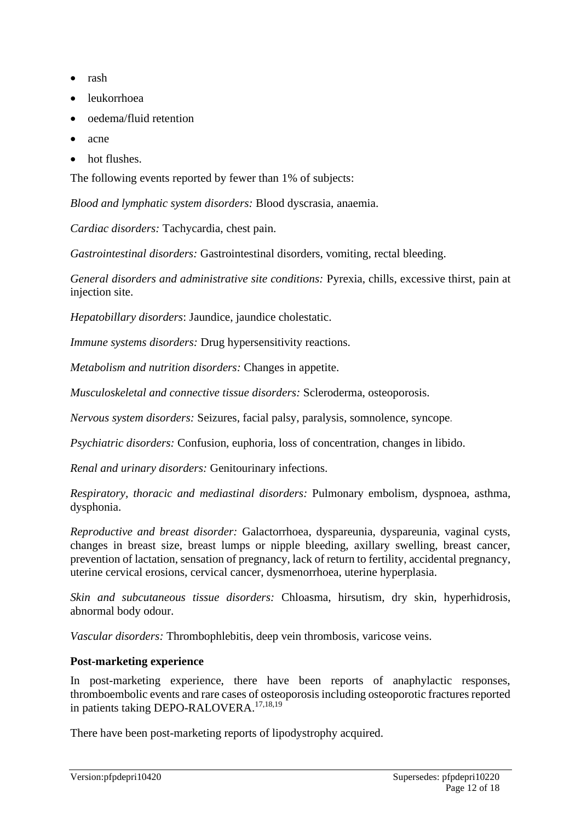- rash
- leukorrhoea
- oedema/fluid retention
- acne
- hot flushes.

The following events reported by fewer than 1% of subjects:

*Blood and lymphatic system disorders:* Blood dyscrasia, anaemia.

*Cardiac disorders:* Tachycardia, chest pain.

*Gastrointestinal disorders:* Gastrointestinal disorders, vomiting, rectal bleeding.

*General disorders and administrative site conditions:* Pyrexia, chills, excessive thirst, pain at injection site.

*Hepatobillary disorders*: Jaundice, jaundice cholestatic.

*Immune systems disorders:* Drug hypersensitivity reactions.

*Metabolism and nutrition disorders:* Changes in appetite.

*Musculoskeletal and connective tissue disorders:* Scleroderma, osteoporosis.

*Nervous system disorders:* Seizures, facial palsy, paralysis, somnolence, syncope.

*Psychiatric disorders:* Confusion, euphoria, loss of concentration, changes in libido.

*Renal and urinary disorders:* Genitourinary infections.

*Respiratory, thoracic and mediastinal disorders:* Pulmonary embolism, dyspnoea, asthma, dysphonia.

*Reproductive and breast disorder:* Galactorrhoea, dyspareunia, dyspareunia, vaginal cysts, changes in breast size, breast lumps or nipple bleeding, axillary swelling, breast cancer, prevention of lactation, sensation of pregnancy, lack of return to fertility, accidental pregnancy, uterine cervical erosions, cervical cancer, dysmenorrhoea, uterine hyperplasia.

*Skin and subcutaneous tissue disorders:* Chloasma, hirsutism, dry skin, hyperhidrosis, abnormal body odour.

*Vascular disorders:* Thrombophlebitis, deep vein thrombosis, varicose veins.

#### **Post-marketing experience**

In post-marketing experience, there have been reports of anaphylactic responses, thromboembolic events and rare cases of osteoporosis including osteoporotic fractures reported in patients taking DEPO-RALOVERA.<sup>17,18,19</sup>

There have been post-marketing reports of lipodystrophy acquired.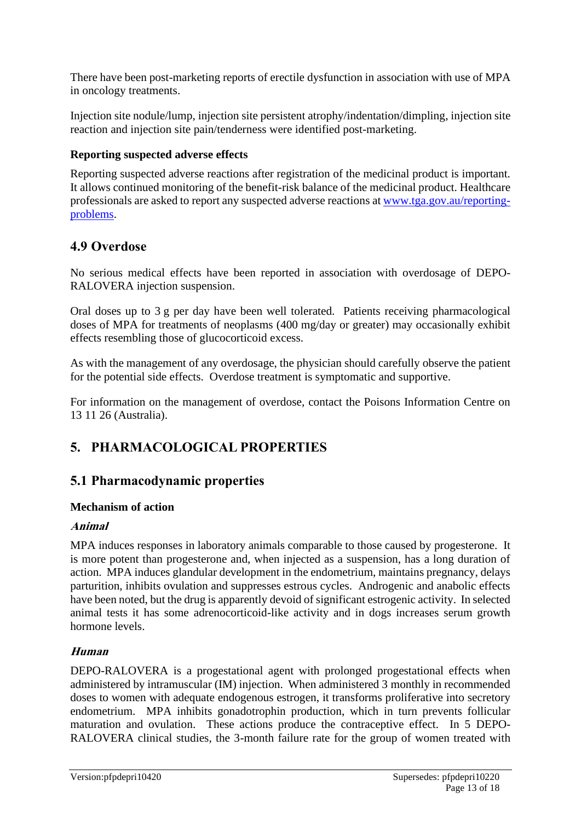There have been post-marketing reports of erectile dysfunction in association with use of MPA in oncology treatments.

Injection site nodule/lump, injection site persistent atrophy/indentation/dimpling, injection site reaction and injection site pain/tenderness were identified post-marketing.

### **Reporting suspected adverse effects**

Reporting suspected adverse reactions after registration of the medicinal product is important. It allows continued monitoring of the benefit-risk balance of the medicinal product. Healthcare professionals are asked to report any suspected adverse reactions at [www.tga.gov.au/reporting](http://www.tga.gov.au/reporting-problems)[problems.](http://www.tga.gov.au/reporting-problems)

# **4.9 Overdose**

No serious medical effects have been reported in association with overdosage of DEPO-RALOVERA injection suspension.

Oral doses up to 3 g per day have been well tolerated. Patients receiving pharmacological doses of MPA for treatments of neoplasms (400 mg/day or greater) may occasionally exhibit effects resembling those of glucocorticoid excess.

As with the management of any overdosage, the physician should carefully observe the patient for the potential side effects. Overdose treatment is symptomatic and supportive.

For information on the management of overdose, contact the Poisons Information Centre on 13 11 26 (Australia).

# **5. PHARMACOLOGICAL PROPERTIES**

# **5.1 Pharmacodynamic properties**

# **Mechanism of action**

### **Animal**

MPA induces responses in laboratory animals comparable to those caused by progesterone. It is more potent than progesterone and, when injected as a suspension, has a long duration of action. MPA induces glandular development in the endometrium, maintains pregnancy, delays parturition, inhibits ovulation and suppresses estrous cycles. Androgenic and anabolic effects have been noted, but the drug is apparently devoid of significant estrogenic activity. In selected animal tests it has some adrenocorticoid-like activity and in dogs increases serum growth hormone levels.

# **Human**

DEPO-RALOVERA is a progestational agent with prolonged progestational effects when administered by intramuscular (IM) injection. When administered 3 monthly in recommended doses to women with adequate endogenous estrogen, it transforms proliferative into secretory endometrium. MPA inhibits gonadotrophin production, which in turn prevents follicular maturation and ovulation. These actions produce the contraceptive effect. In 5 DEPO-RALOVERA clinical studies, the 3-month failure rate for the group of women treated with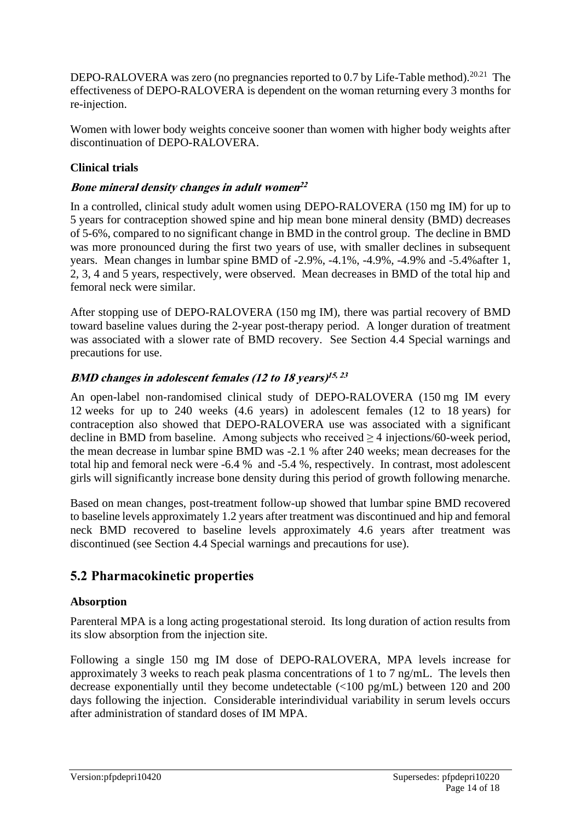DEPO-RALOVERA was zero (no pregnancies reported to 0.7 by Life-Table method).<sup>20.21</sup> The effectiveness of DEPO-RALOVERA is dependent on the woman returning every 3 months for re-injection.

Women with lower body weights conceive sooner than women with higher body weights after discontinuation of DEPO-RALOVERA.

### **Clinical trials**

# **Bone mineral density changes in adult women 22**

In a controlled, clinical study adult women using DEPO-RALOVERA (150 mg IM) for up to 5 years for contraception showed spine and hip mean bone mineral density (BMD) decreases of 5-6%, compared to no significant change in BMD in the control group. The decline in BMD was more pronounced during the first two years of use, with smaller declines in subsequent years. Mean changes in lumbar spine BMD of -2.9%, -4.1%, -4.9%, -4.9% and -5.4%after 1, 2, 3, 4 and 5 years, respectively, were observed. Mean decreases in BMD of the total hip and femoral neck were similar.

After stopping use of DEPO-RALOVERA (150 mg IM), there was partial recovery of BMD toward baseline values during the 2-year post-therapy period. A longer duration of treatment was associated with a slower rate of BMD recovery. See Section 4.4 Special warnings and precautions for use.

# **BMD changes in adolescent females (12 to 18 years) 15, 23**

An open-label non-randomised clinical study of DEPO-RALOVERA (150 mg IM every 12 weeks for up to 240 weeks (4.6 years) in adolescent females (12 to 18 years) for contraception also showed that DEPO-RALOVERA use was associated with a significant decline in BMD from baseline. Among subjects who received  $\geq 4$  injections/60-week period, the mean decrease in lumbar spine BMD was -2.1 % after 240 weeks; mean decreases for the total hip and femoral neck were -6.4 % and -5.4 %, respectively. In contrast, most adolescent girls will significantly increase bone density during this period of growth following menarche.

Based on mean changes, post-treatment follow-up showed that lumbar spine BMD recovered to baseline levels approximately 1.2 years after treatment was discontinued and hip and femoral neck BMD recovered to baseline levels approximately 4.6 years after treatment was discontinued (see Section 4.4 Special warnings and precautions for use).

# **5.2 Pharmacokinetic properties**

### **Absorption**

Parenteral MPA is a long acting progestational steroid. Its long duration of action results from its slow absorption from the injection site.

Following a single 150 mg IM dose of DEPO-RALOVERA, MPA levels increase for approximately 3 weeks to reach peak plasma concentrations of 1 to 7 ng/mL. The levels then decrease exponentially until they become undetectable (<100 pg/mL) between 120 and 200 days following the injection. Considerable interindividual variability in serum levels occurs after administration of standard doses of IM MPA.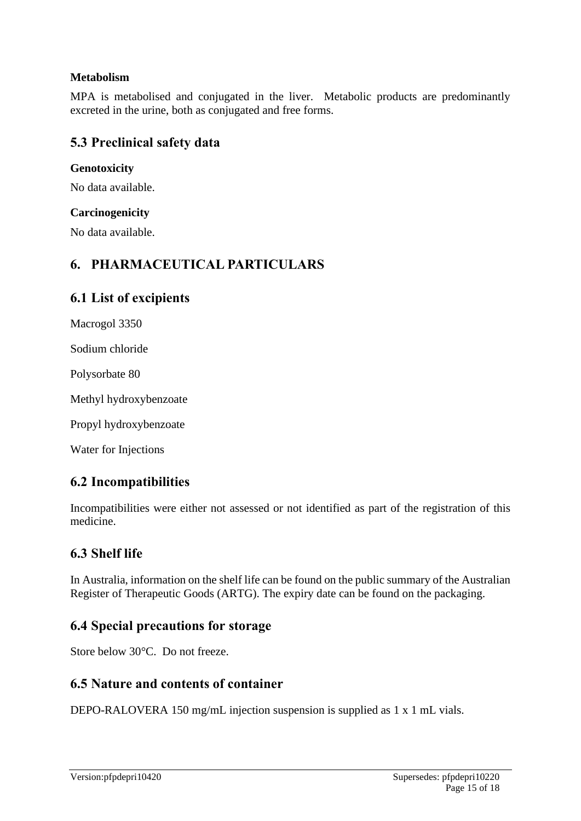### **Metabolism**

MPA is metabolised and conjugated in the liver. Metabolic products are predominantly excreted in the urine, both as conjugated and free forms.

# **5.3 Preclinical safety data**

#### **Genotoxicity**

No data available.

#### **Carcinogenicity**

No data available.

# **6. PHARMACEUTICAL PARTICULARS**

# **6.1 List of excipients**

Macrogol 3350

Sodium chloride

Polysorbate 80

Methyl hydroxybenzoate

Propyl hydroxybenzoate

Water for Injections

# **6.2 Incompatibilities**

Incompatibilities were either not assessed or not identified as part of the registration of this medicine.

# **6.3 Shelf life**

In Australia, information on the shelf life can be found on the public summary of the Australian Register of Therapeutic Goods (ARTG). The expiry date can be found on the packaging.

# **6.4 Special precautions for storage**

Store below 30°C. Do not freeze.

# **6.5 Nature and contents of container**

DEPO-RALOVERA 150 mg/mL injection suspension is supplied as 1 x 1 mL vials.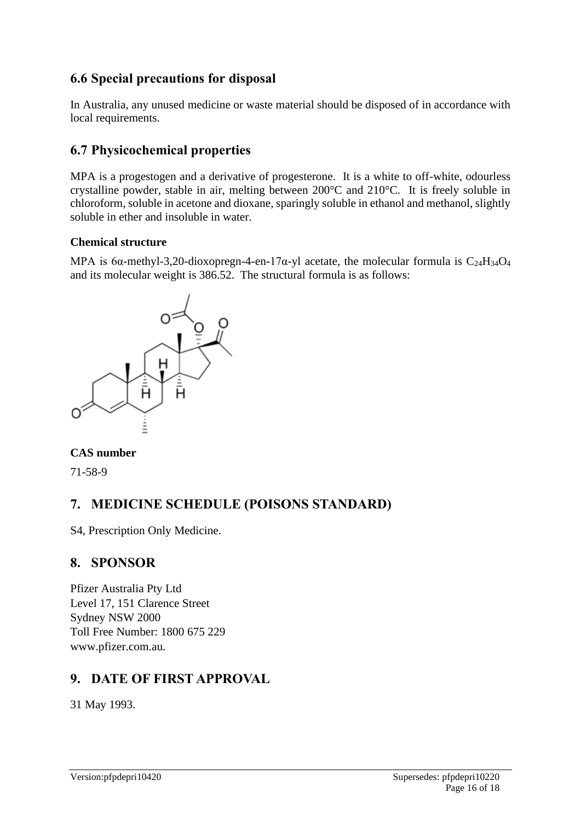# **6.6 Special precautions for disposal**

In Australia, any unused medicine or waste material should be disposed of in accordance with local requirements.

# **6.7 Physicochemical properties**

MPA is a progestogen and a derivative of progesterone. It is a white to off-white, odourless crystalline powder, stable in air, melting between 200°C and 210°C. It is freely soluble in chloroform, soluble in acetone and dioxane, sparingly soluble in ethanol and methanol, slightly soluble in ether and insoluble in water.

### **Chemical structure**

MPA is 6 $\alpha$ -methyl-3,20-dioxopregn-4-en-17 $\alpha$ -yl acetate, the molecular formula is C<sub>24</sub>H<sub>34</sub>O<sub>4</sub> and its molecular weight is 386.52. The structural formula is as follows:



# **CAS number**

71-58-9

# **7. MEDICINE SCHEDULE (POISONS STANDARD)**

S4, Prescription Only Medicine.

# **8. SPONSOR**

Pfizer Australia Pty Ltd Level 17, 151 Clarence Street Sydney NSW 2000 Toll Free Number: 1800 675 229 www.pfizer.com.au.

# **9. DATE OF FIRST APPROVAL**

31 May 1993.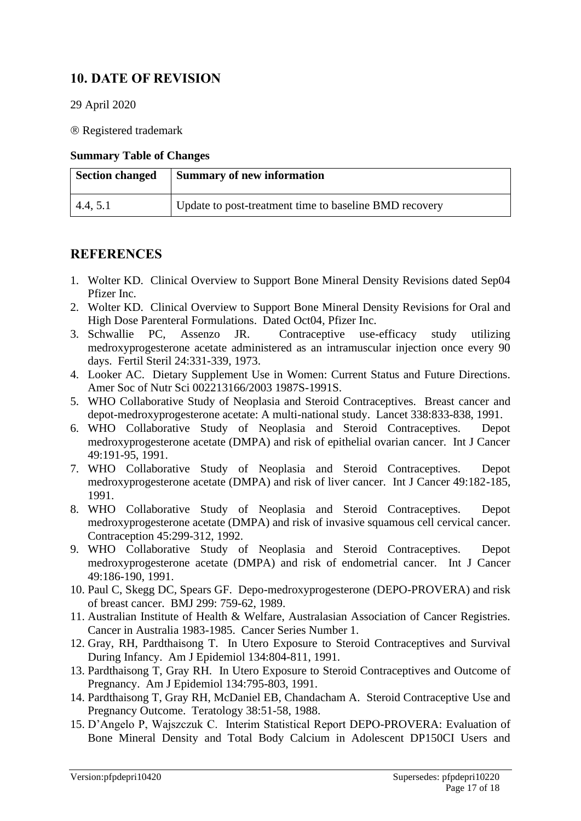# **10. DATE OF REVISION**

29 April 2020

Registered trademark

#### **Summary Table of Changes**

| <b>Section changed</b> | <b>Summary of new information</b>                      |
|------------------------|--------------------------------------------------------|
| 4.4, 5.1               | Update to post-treatment time to baseline BMD recovery |

# **REFERENCES**

- 1. Wolter KD. Clinical Overview to Support Bone Mineral Density Revisions dated Sep04 Pfizer Inc.
- 2. Wolter KD. Clinical Overview to Support Bone Mineral Density Revisions for Oral and High Dose Parenteral Formulations. Dated Oct04, Pfizer Inc.
- 3. Schwallie PC, Assenzo JR. Contraceptive use-efficacy study utilizing medroxyprogesterone acetate administered as an intramuscular injection once every 90 days. Fertil Steril 24:331-339, 1973.
- 4. Looker AC. Dietary Supplement Use in Women: Current Status and Future Directions. Amer Soc of Nutr Sci 002213166/2003 1987S-1991S.
- 5. WHO Collaborative Study of Neoplasia and Steroid Contraceptives. Breast cancer and depot-medroxyprogesterone acetate: A multi-national study. Lancet 338:833-838, 1991.
- 6. WHO Collaborative Study of Neoplasia and Steroid Contraceptives. Depot medroxyprogesterone acetate (DMPA) and risk of epithelial ovarian cancer. Int J Cancer 49:191-95, 1991.
- 7. WHO Collaborative Study of Neoplasia and Steroid Contraceptives. Depot medroxyprogesterone acetate (DMPA) and risk of liver cancer. Int J Cancer 49:182-185, 1991.
- 8. WHO Collaborative Study of Neoplasia and Steroid Contraceptives. Depot medroxyprogesterone acetate (DMPA) and risk of invasive squamous cell cervical cancer. Contraception 45:299-312, 1992.
- 9. WHO Collaborative Study of Neoplasia and Steroid Contraceptives. Depot medroxyprogesterone acetate (DMPA) and risk of endometrial cancer. Int J Cancer 49:186-190, 1991.
- 10. Paul C, Skegg DC, Spears GF. Depo-medroxyprogesterone (DEPO-PROVERA) and risk of breast cancer. BMJ 299: 759-62, 1989.
- 11. Australian Institute of Health & Welfare, Australasian Association of Cancer Registries. Cancer in Australia 1983-1985. Cancer Series Number 1.
- 12. Gray, RH, Pardthaisong T. In Utero Exposure to Steroid Contraceptives and Survival During Infancy. Am J Epidemiol 134:804-811, 1991.
- 13. Pardthaisong T, Gray RH. In Utero Exposure to Steroid Contraceptives and Outcome of Pregnancy. Am J Epidemiol 134:795-803, 1991.
- 14. Pardthaisong T, Gray RH, McDaniel EB, Chandacham A. Steroid Contraceptive Use and Pregnancy Outcome. Teratology 38:51-58, 1988.
- 15. D'Angelo P, Wajszczuk C. Interim Statistical Report DEPO-PROVERA: Evaluation of Bone Mineral Density and Total Body Calcium in Adolescent DP150CI Users and